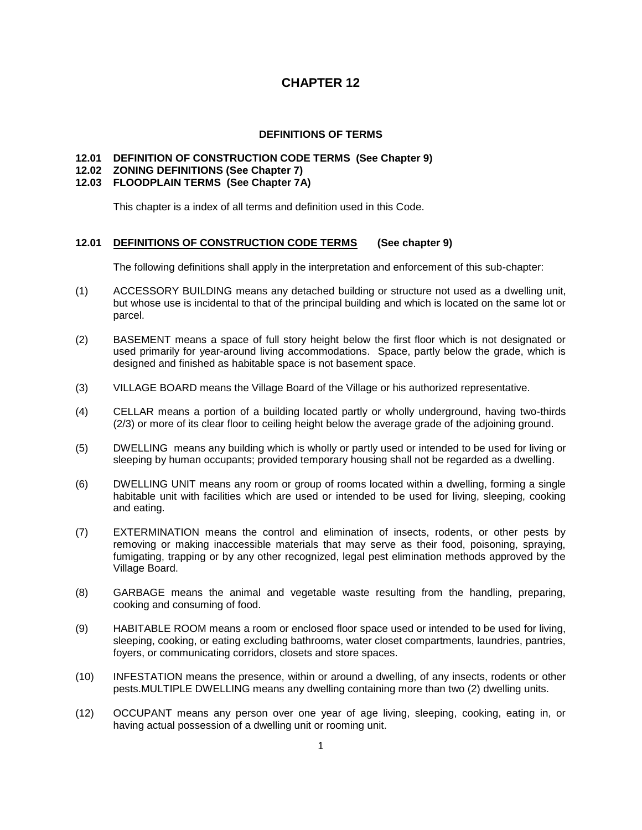#### **DEFINITIONS OF TERMS**

#### **12.01 DEFINITION OF CONSTRUCTION CODE TERMS (See Chapter 9)**

### **12.02 ZONING DEFINITIONS (See Chapter 7)**

#### **12.03 FLOODPLAIN TERMS (See Chapter 7A)**

This chapter is a index of all terms and definition used in this Code.

#### **12.01 DEFINITIONS OF CONSTRUCTION CODE TERMS (See chapter 9)**

The following definitions shall apply in the interpretation and enforcement of this sub-chapter:

- (1) ACCESSORY BUILDING means any detached building or structure not used as a dwelling unit, but whose use is incidental to that of the principal building and which is located on the same lot or parcel.
- (2) BASEMENT means a space of full story height below the first floor which is not designated or used primarily for year-around living accommodations. Space, partly below the grade, which is designed and finished as habitable space is not basement space.
- (3) VILLAGE BOARD means the Village Board of the Village or his authorized representative.
- (4) CELLAR means a portion of a building located partly or wholly underground, having two-thirds (2/3) or more of its clear floor to ceiling height below the average grade of the adjoining ground.
- (5) DWELLING means any building which is wholly or partly used or intended to be used for living or sleeping by human occupants; provided temporary housing shall not be regarded as a dwelling.
- (6) DWELLING UNIT means any room or group of rooms located within a dwelling, forming a single habitable unit with facilities which are used or intended to be used for living, sleeping, cooking and eating.
- (7) EXTERMINATION means the control and elimination of insects, rodents, or other pests by removing or making inaccessible materials that may serve as their food, poisoning, spraying, fumigating, trapping or by any other recognized, legal pest elimination methods approved by the Village Board.
- (8) GARBAGE means the animal and vegetable waste resulting from the handling, preparing, cooking and consuming of food.
- (9) HABITABLE ROOM means a room or enclosed floor space used or intended to be used for living, sleeping, cooking, or eating excluding bathrooms, water closet compartments, laundries, pantries, foyers, or communicating corridors, closets and store spaces.
- (10) INFESTATION means the presence, within or around a dwelling, of any insects, rodents or other pests.MULTIPLE DWELLING means any dwelling containing more than two (2) dwelling units.
- (12) OCCUPANT means any person over one year of age living, sleeping, cooking, eating in, or having actual possession of a dwelling unit or rooming unit.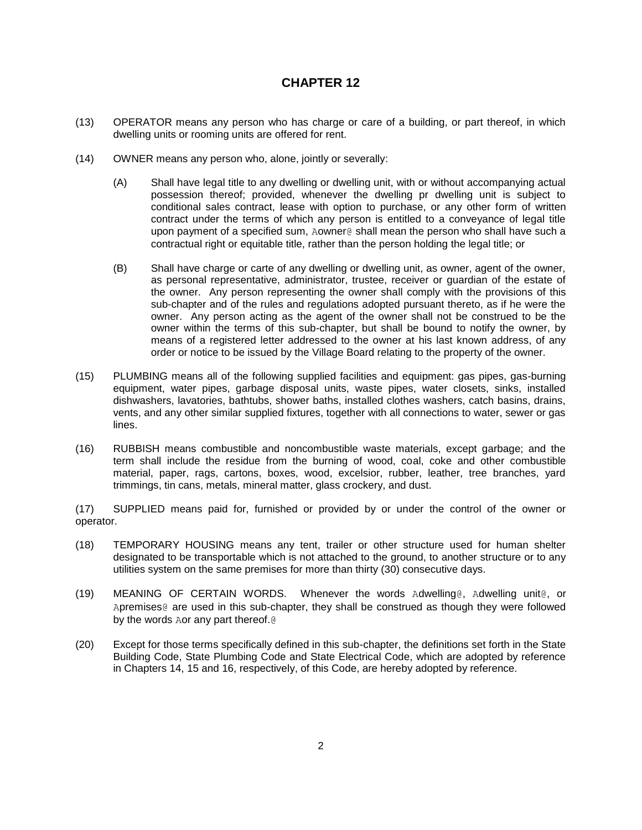- (13) OPERATOR means any person who has charge or care of a building, or part thereof, in which dwelling units or rooming units are offered for rent.
- (14) OWNER means any person who, alone, jointly or severally:
	- (A) Shall have legal title to any dwelling or dwelling unit, with or without accompanying actual possession thereof; provided, whenever the dwelling pr dwelling unit is subject to conditional sales contract, lease with option to purchase, or any other form of written contract under the terms of which any person is entitled to a conveyance of legal title upon payment of a specified sum, Aowner@ shall mean the person who shall have such a contractual right or equitable title, rather than the person holding the legal title; or
	- (B) Shall have charge or carte of any dwelling or dwelling unit, as owner, agent of the owner, as personal representative, administrator, trustee, receiver or guardian of the estate of the owner. Any person representing the owner shall comply with the provisions of this sub-chapter and of the rules and regulations adopted pursuant thereto, as if he were the owner. Any person acting as the agent of the owner shall not be construed to be the owner within the terms of this sub-chapter, but shall be bound to notify the owner, by means of a registered letter addressed to the owner at his last known address, of any order or notice to be issued by the Village Board relating to the property of the owner.
- (15) PLUMBING means all of the following supplied facilities and equipment: gas pipes, gas-burning equipment, water pipes, garbage disposal units, waste pipes, water closets, sinks, installed dishwashers, lavatories, bathtubs, shower baths, installed clothes washers, catch basins, drains, vents, and any other similar supplied fixtures, together with all connections to water, sewer or gas lines.
- (16) RUBBISH means combustible and noncombustible waste materials, except garbage; and the term shall include the residue from the burning of wood, coal, coke and other combustible material, paper, rags, cartons, boxes, wood, excelsior, rubber, leather, tree branches, yard trimmings, tin cans, metals, mineral matter, glass crockery, and dust.

(17) SUPPLIED means paid for, furnished or provided by or under the control of the owner or operator.

- (18) TEMPORARY HOUSING means any tent, trailer or other structure used for human shelter designated to be transportable which is not attached to the ground, to another structure or to any utilities system on the same premises for more than thirty (30) consecutive days.
- (19) MEANING OF CERTAIN WORDS. Whenever the words Adwelling@, Adwelling unit@, or Apremises@ are used in this sub-chapter, they shall be construed as though they were followed by the words Aor any part thereof.@
- (20) Except for those terms specifically defined in this sub-chapter, the definitions set forth in the State Building Code, State Plumbing Code and State Electrical Code, which are adopted by reference in Chapters 14, 15 and 16, respectively, of this Code, are hereby adopted by reference.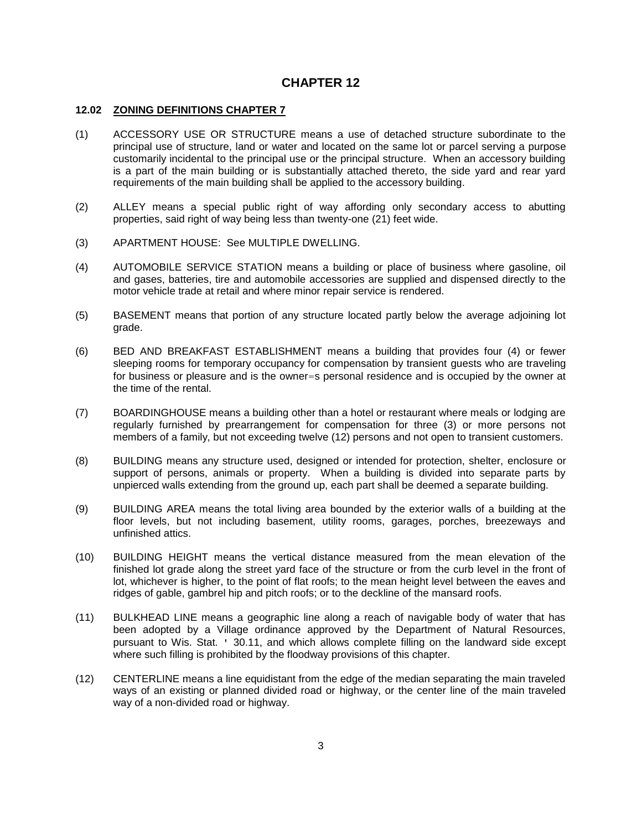#### **12.02 ZONING DEFINITIONS CHAPTER 7**

- (1) ACCESSORY USE OR STRUCTURE means a use of detached structure subordinate to the principal use of structure, land or water and located on the same lot or parcel serving a purpose customarily incidental to the principal use or the principal structure. When an accessory building is a part of the main building or is substantially attached thereto, the side yard and rear yard requirements of the main building shall be applied to the accessory building.
- (2) ALLEY means a special public right of way affording only secondary access to abutting properties, said right of way being less than twenty-one (21) feet wide.
- (3) APARTMENT HOUSE: See MULTIPLE DWELLING.
- (4) AUTOMOBILE SERVICE STATION means a building or place of business where gasoline, oil and gases, batteries, tire and automobile accessories are supplied and dispensed directly to the motor vehicle trade at retail and where minor repair service is rendered.
- (5) BASEMENT means that portion of any structure located partly below the average adjoining lot grade.
- (6) BED AND BREAKFAST ESTABLISHMENT means a building that provides four (4) or fewer sleeping rooms for temporary occupancy for compensation by transient guests who are traveling for business or pleasure and is the owner=s personal residence and is occupied by the owner at the time of the rental.
- (7) BOARDINGHOUSE means a building other than a hotel or restaurant where meals or lodging are regularly furnished by prearrangement for compensation for three (3) or more persons not members of a family, but not exceeding twelve (12) persons and not open to transient customers.
- (8) BUILDING means any structure used, designed or intended for protection, shelter, enclosure or support of persons, animals or property. When a building is divided into separate parts by unpierced walls extending from the ground up, each part shall be deemed a separate building.
- (9) BUILDING AREA means the total living area bounded by the exterior walls of a building at the floor levels, but not including basement, utility rooms, garages, porches, breezeways and unfinished attics.
- (10) BUILDING HEIGHT means the vertical distance measured from the mean elevation of the finished lot grade along the street yard face of the structure or from the curb level in the front of lot, whichever is higher, to the point of flat roofs; to the mean height level between the eaves and ridges of gable, gambrel hip and pitch roofs; or to the deckline of the mansard roofs.
- (11) BULKHEAD LINE means a geographic line along a reach of navigable body of water that has been adopted by a Village ordinance approved by the Department of Natural Resources, pursuant to Wis. Stat. ' 30.11, and which allows complete filling on the landward side except where such filling is prohibited by the floodway provisions of this chapter.
- (12) CENTERLINE means a line equidistant from the edge of the median separating the main traveled ways of an existing or planned divided road or highway, or the center line of the main traveled way of a non-divided road or highway.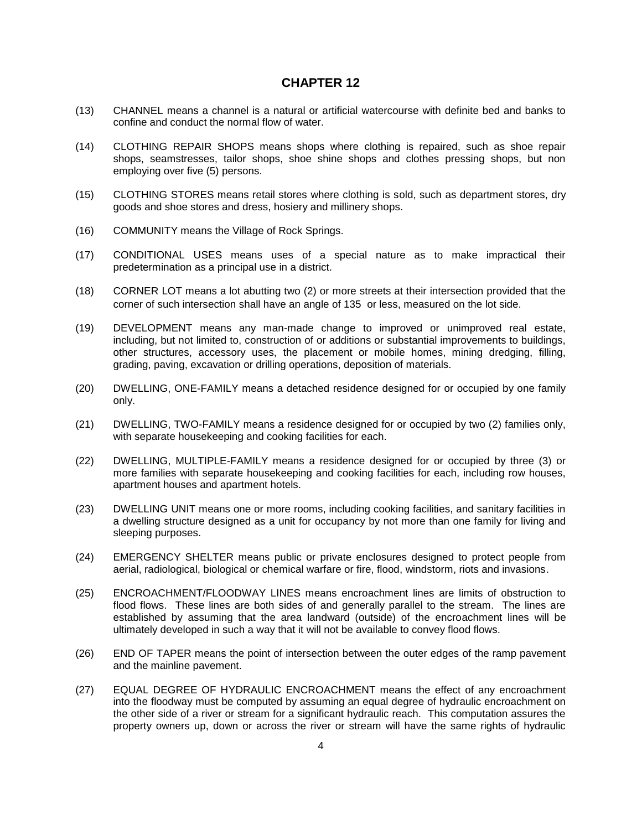- (13) CHANNEL means a channel is a natural or artificial watercourse with definite bed and banks to confine and conduct the normal flow of water.
- (14) CLOTHING REPAIR SHOPS means shops where clothing is repaired, such as shoe repair shops, seamstresses, tailor shops, shoe shine shops and clothes pressing shops, but non employing over five (5) persons.
- (15) CLOTHING STORES means retail stores where clothing is sold, such as department stores, dry goods and shoe stores and dress, hosiery and millinery shops.
- (16) COMMUNITY means the Village of Rock Springs.
- (17) CONDITIONAL USES means uses of a special nature as to make impractical their predetermination as a principal use in a district.
- (18) CORNER LOT means a lot abutting two (2) or more streets at their intersection provided that the corner of such intersection shall have an angle of 135 or less, measured on the lot side.
- (19) DEVELOPMENT means any man-made change to improved or unimproved real estate, including, but not limited to, construction of or additions or substantial improvements to buildings, other structures, accessory uses, the placement or mobile homes, mining dredging, filling, grading, paving, excavation or drilling operations, deposition of materials.
- (20) DWELLING, ONE-FAMILY means a detached residence designed for or occupied by one family only.
- (21) DWELLING, TWO-FAMILY means a residence designed for or occupied by two (2) families only, with separate housekeeping and cooking facilities for each.
- (22) DWELLING, MULTIPLE-FAMILY means a residence designed for or occupied by three (3) or more families with separate housekeeping and cooking facilities for each, including row houses, apartment houses and apartment hotels.
- (23) DWELLING UNIT means one or more rooms, including cooking facilities, and sanitary facilities in a dwelling structure designed as a unit for occupancy by not more than one family for living and sleeping purposes.
- (24) EMERGENCY SHELTER means public or private enclosures designed to protect people from aerial, radiological, biological or chemical warfare or fire, flood, windstorm, riots and invasions.
- (25) ENCROACHMENT/FLOODWAY LINES means encroachment lines are limits of obstruction to flood flows. These lines are both sides of and generally parallel to the stream. The lines are established by assuming that the area landward (outside) of the encroachment lines will be ultimately developed in such a way that it will not be available to convey flood flows.
- (26) END OF TAPER means the point of intersection between the outer edges of the ramp pavement and the mainline pavement.
- (27) EQUAL DEGREE OF HYDRAULIC ENCROACHMENT means the effect of any encroachment into the floodway must be computed by assuming an equal degree of hydraulic encroachment on the other side of a river or stream for a significant hydraulic reach. This computation assures the property owners up, down or across the river or stream will have the same rights of hydraulic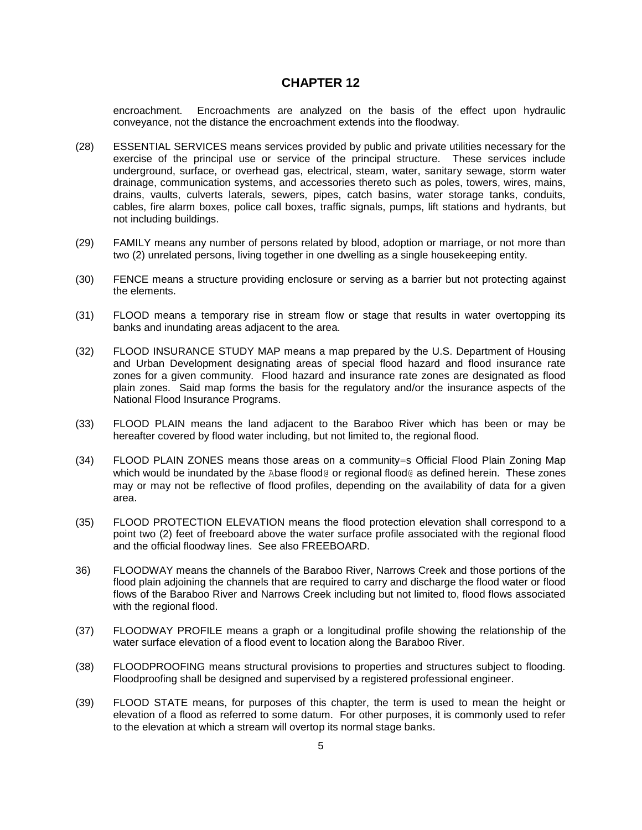encroachment. Encroachments are analyzed on the basis of the effect upon hydraulic conveyance, not the distance the encroachment extends into the floodway.

- (28) ESSENTIAL SERVICES means services provided by public and private utilities necessary for the exercise of the principal use or service of the principal structure. These services include underground, surface, or overhead gas, electrical, steam, water, sanitary sewage, storm water drainage, communication systems, and accessories thereto such as poles, towers, wires, mains, drains, vaults, culverts laterals, sewers, pipes, catch basins, water storage tanks, conduits, cables, fire alarm boxes, police call boxes, traffic signals, pumps, lift stations and hydrants, but not including buildings.
- (29) FAMILY means any number of persons related by blood, adoption or marriage, or not more than two (2) unrelated persons, living together in one dwelling as a single housekeeping entity.
- (30) FENCE means a structure providing enclosure or serving as a barrier but not protecting against the elements.
- (31) FLOOD means a temporary rise in stream flow or stage that results in water overtopping its banks and inundating areas adjacent to the area.
- (32) FLOOD INSURANCE STUDY MAP means a map prepared by the U.S. Department of Housing and Urban Development designating areas of special flood hazard and flood insurance rate zones for a given community. Flood hazard and insurance rate zones are designated as flood plain zones. Said map forms the basis for the regulatory and/or the insurance aspects of the National Flood Insurance Programs.
- (33) FLOOD PLAIN means the land adjacent to the Baraboo River which has been or may be hereafter covered by flood water including, but not limited to, the regional flood.
- (34) FLOOD PLAIN ZONES means those areas on a community=s Official Flood Plain Zoning Map which would be inundated by the Abase flood@ or regional flood@ as defined herein. These zones may or may not be reflective of flood profiles, depending on the availability of data for a given area.
- (35) FLOOD PROTECTION ELEVATION means the flood protection elevation shall correspond to a point two (2) feet of freeboard above the water surface profile associated with the regional flood and the official floodway lines. See also FREEBOARD.
- 36) FLOODWAY means the channels of the Baraboo River, Narrows Creek and those portions of the flood plain adjoining the channels that are required to carry and discharge the flood water or flood flows of the Baraboo River and Narrows Creek including but not limited to, flood flows associated with the regional flood.
- (37) FLOODWAY PROFILE means a graph or a longitudinal profile showing the relationship of the water surface elevation of a flood event to location along the Baraboo River.
- (38) FLOODPROOFING means structural provisions to properties and structures subject to flooding. Floodproofing shall be designed and supervised by a registered professional engineer.
- (39) FLOOD STATE means, for purposes of this chapter, the term is used to mean the height or elevation of a flood as referred to some datum. For other purposes, it is commonly used to refer to the elevation at which a stream will overtop its normal stage banks.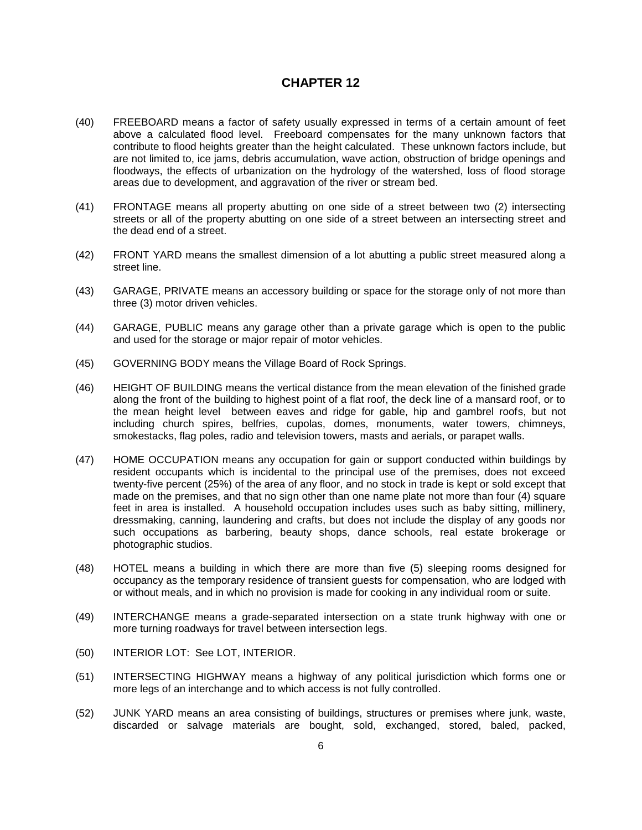- (40) FREEBOARD means a factor of safety usually expressed in terms of a certain amount of feet above a calculated flood level. Freeboard compensates for the many unknown factors that contribute to flood heights greater than the height calculated. These unknown factors include, but are not limited to, ice jams, debris accumulation, wave action, obstruction of bridge openings and floodways, the effects of urbanization on the hydrology of the watershed, loss of flood storage areas due to development, and aggravation of the river or stream bed.
- (41) FRONTAGE means all property abutting on one side of a street between two (2) intersecting streets or all of the property abutting on one side of a street between an intersecting street and the dead end of a street.
- (42) FRONT YARD means the smallest dimension of a lot abutting a public street measured along a street line.
- (43) GARAGE, PRIVATE means an accessory building or space for the storage only of not more than three (3) motor driven vehicles.
- (44) GARAGE, PUBLIC means any garage other than a private garage which is open to the public and used for the storage or major repair of motor vehicles.
- (45) GOVERNING BODY means the Village Board of Rock Springs.
- (46) HEIGHT OF BUILDING means the vertical distance from the mean elevation of the finished grade along the front of the building to highest point of a flat roof, the deck line of a mansard roof, or to the mean height level between eaves and ridge for gable, hip and gambrel roofs, but not including church spires, belfries, cupolas, domes, monuments, water towers, chimneys, smokestacks, flag poles, radio and television towers, masts and aerials, or parapet walls.
- (47) HOME OCCUPATION means any occupation for gain or support conducted within buildings by resident occupants which is incidental to the principal use of the premises, does not exceed twenty-five percent (25%) of the area of any floor, and no stock in trade is kept or sold except that made on the premises, and that no sign other than one name plate not more than four (4) square feet in area is installed. A household occupation includes uses such as baby sitting, millinery, dressmaking, canning, laundering and crafts, but does not include the display of any goods nor such occupations as barbering, beauty shops, dance schools, real estate brokerage or photographic studios.
- (48) HOTEL means a building in which there are more than five (5) sleeping rooms designed for occupancy as the temporary residence of transient guests for compensation, who are lodged with or without meals, and in which no provision is made for cooking in any individual room or suite.
- (49) INTERCHANGE means a grade-separated intersection on a state trunk highway with one or more turning roadways for travel between intersection legs.
- (50) INTERIOR LOT: See LOT, INTERIOR.
- (51) INTERSECTING HIGHWAY means a highway of any political jurisdiction which forms one or more legs of an interchange and to which access is not fully controlled.
- (52) JUNK YARD means an area consisting of buildings, structures or premises where junk, waste, discarded or salvage materials are bought, sold, exchanged, stored, baled, packed,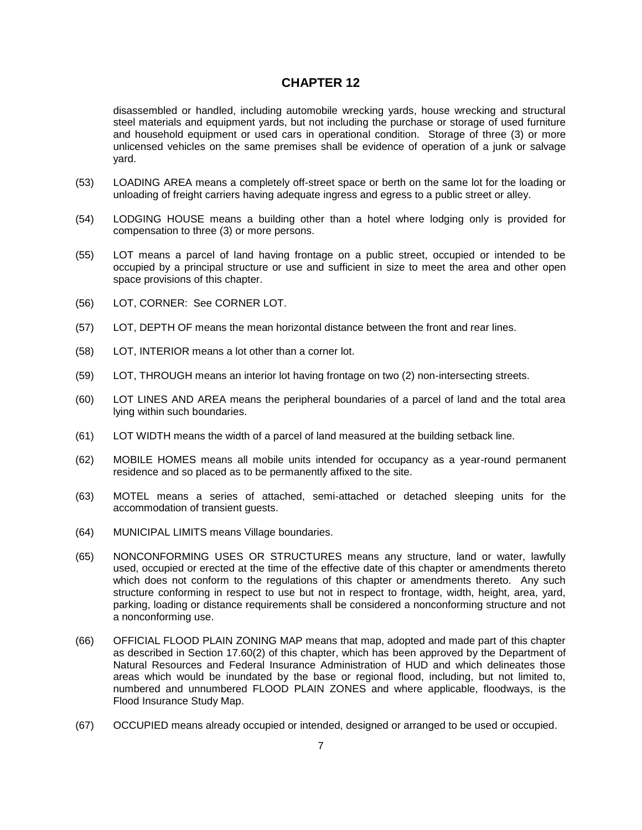disassembled or handled, including automobile wrecking yards, house wrecking and structural steel materials and equipment yards, but not including the purchase or storage of used furniture and household equipment or used cars in operational condition. Storage of three (3) or more unlicensed vehicles on the same premises shall be evidence of operation of a junk or salvage yard.

- (53) LOADING AREA means a completely off-street space or berth on the same lot for the loading or unloading of freight carriers having adequate ingress and egress to a public street or alley.
- (54) LODGING HOUSE means a building other than a hotel where lodging only is provided for compensation to three (3) or more persons.
- (55) LOT means a parcel of land having frontage on a public street, occupied or intended to be occupied by a principal structure or use and sufficient in size to meet the area and other open space provisions of this chapter.
- (56) LOT, CORNER: See CORNER LOT.
- (57) LOT, DEPTH OF means the mean horizontal distance between the front and rear lines.
- (58) LOT, INTERIOR means a lot other than a corner lot.
- (59) LOT, THROUGH means an interior lot having frontage on two (2) non-intersecting streets.
- (60) LOT LINES AND AREA means the peripheral boundaries of a parcel of land and the total area lying within such boundaries.
- (61) LOT WIDTH means the width of a parcel of land measured at the building setback line.
- (62) MOBILE HOMES means all mobile units intended for occupancy as a year-round permanent residence and so placed as to be permanently affixed to the site.
- (63) MOTEL means a series of attached, semi-attached or detached sleeping units for the accommodation of transient guests.
- (64) MUNICIPAL LIMITS means Village boundaries.
- (65) NONCONFORMING USES OR STRUCTURES means any structure, land or water, lawfully used, occupied or erected at the time of the effective date of this chapter or amendments thereto which does not conform to the regulations of this chapter or amendments thereto. Any such structure conforming in respect to use but not in respect to frontage, width, height, area, yard, parking, loading or distance requirements shall be considered a nonconforming structure and not a nonconforming use.
- (66) OFFICIAL FLOOD PLAIN ZONING MAP means that map, adopted and made part of this chapter as described in Section 17.60(2) of this chapter, which has been approved by the Department of Natural Resources and Federal Insurance Administration of HUD and which delineates those areas which would be inundated by the base or regional flood, including, but not limited to, numbered and unnumbered FLOOD PLAIN ZONES and where applicable, floodways, is the Flood Insurance Study Map.
- (67) OCCUPIED means already occupied or intended, designed or arranged to be used or occupied.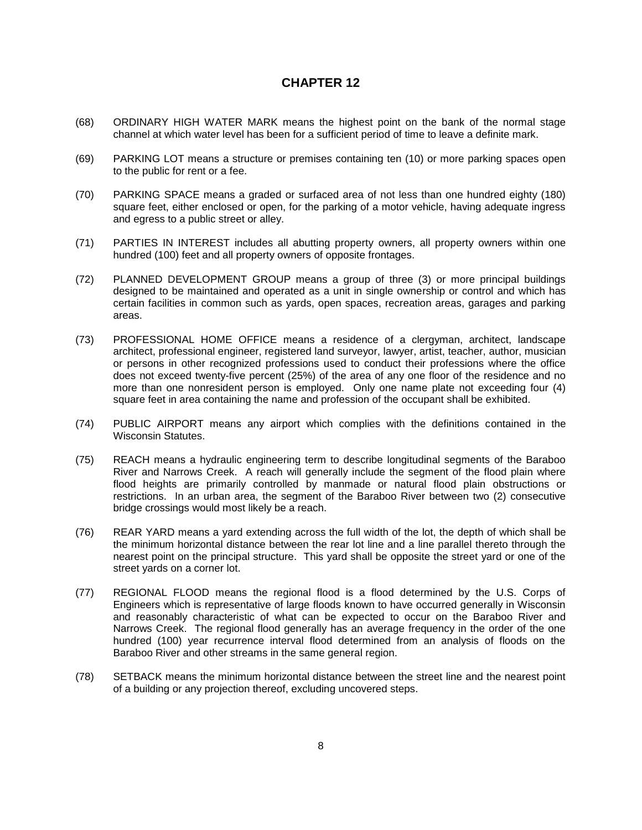- (68) ORDINARY HIGH WATER MARK means the highest point on the bank of the normal stage channel at which water level has been for a sufficient period of time to leave a definite mark.
- (69) PARKING LOT means a structure or premises containing ten (10) or more parking spaces open to the public for rent or a fee.
- (70) PARKING SPACE means a graded or surfaced area of not less than one hundred eighty (180) square feet, either enclosed or open, for the parking of a motor vehicle, having adequate ingress and egress to a public street or alley.
- (71) PARTIES IN INTEREST includes all abutting property owners, all property owners within one hundred (100) feet and all property owners of opposite frontages.
- (72) PLANNED DEVELOPMENT GROUP means a group of three (3) or more principal buildings designed to be maintained and operated as a unit in single ownership or control and which has certain facilities in common such as yards, open spaces, recreation areas, garages and parking areas.
- (73) PROFESSIONAL HOME OFFICE means a residence of a clergyman, architect, landscape architect, professional engineer, registered land surveyor, lawyer, artist, teacher, author, musician or persons in other recognized professions used to conduct their professions where the office does not exceed twenty-five percent (25%) of the area of any one floor of the residence and no more than one nonresident person is employed. Only one name plate not exceeding four (4) square feet in area containing the name and profession of the occupant shall be exhibited.
- (74) PUBLIC AIRPORT means any airport which complies with the definitions contained in the Wisconsin Statutes.
- (75) REACH means a hydraulic engineering term to describe longitudinal segments of the Baraboo River and Narrows Creek. A reach will generally include the segment of the flood plain where flood heights are primarily controlled by manmade or natural flood plain obstructions or restrictions. In an urban area, the segment of the Baraboo River between two (2) consecutive bridge crossings would most likely be a reach.
- (76) REAR YARD means a yard extending across the full width of the lot, the depth of which shall be the minimum horizontal distance between the rear lot line and a line parallel thereto through the nearest point on the principal structure. This yard shall be opposite the street yard or one of the street yards on a corner lot.
- (77) REGIONAL FLOOD means the regional flood is a flood determined by the U.S. Corps of Engineers which is representative of large floods known to have occurred generally in Wisconsin and reasonably characteristic of what can be expected to occur on the Baraboo River and Narrows Creek. The regional flood generally has an average frequency in the order of the one hundred (100) year recurrence interval flood determined from an analysis of floods on the Baraboo River and other streams in the same general region.
- (78) SETBACK means the minimum horizontal distance between the street line and the nearest point of a building or any projection thereof, excluding uncovered steps.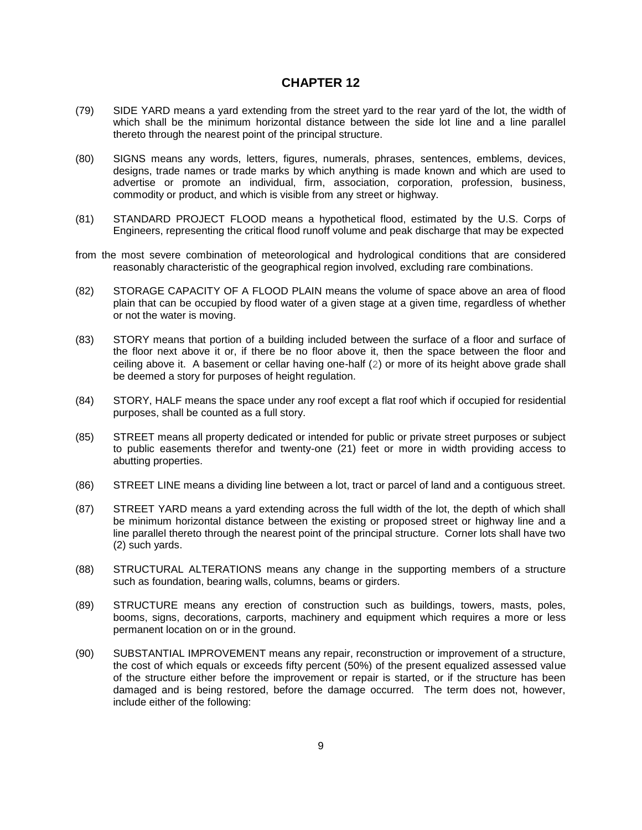- (79) SIDE YARD means a yard extending from the street yard to the rear yard of the lot, the width of which shall be the minimum horizontal distance between the side lot line and a line parallel thereto through the nearest point of the principal structure.
- (80) SIGNS means any words, letters, figures, numerals, phrases, sentences, emblems, devices, designs, trade names or trade marks by which anything is made known and which are used to advertise or promote an individual, firm, association, corporation, profession, business, commodity or product, and which is visible from any street or highway.
- (81) STANDARD PROJECT FLOOD means a hypothetical flood, estimated by the U.S. Corps of Engineers, representing the critical flood runoff volume and peak discharge that may be expected
- from the most severe combination of meteorological and hydrological conditions that are considered reasonably characteristic of the geographical region involved, excluding rare combinations.
- (82) STORAGE CAPACITY OF A FLOOD PLAIN means the volume of space above an area of flood plain that can be occupied by flood water of a given stage at a given time, regardless of whether or not the water is moving.
- (83) STORY means that portion of a building included between the surface of a floor and surface of the floor next above it or, if there be no floor above it, then the space between the floor and ceiling above it. A basement or cellar having one-half (2) or more of its height above grade shall be deemed a story for purposes of height regulation.
- (84) STORY, HALF means the space under any roof except a flat roof which if occupied for residential purposes, shall be counted as a full story.
- (85) STREET means all property dedicated or intended for public or private street purposes or subject to public easements therefor and twenty-one (21) feet or more in width providing access to abutting properties.
- (86) STREET LINE means a dividing line between a lot, tract or parcel of land and a contiguous street.
- (87) STREET YARD means a yard extending across the full width of the lot, the depth of which shall be minimum horizontal distance between the existing or proposed street or highway line and a line parallel thereto through the nearest point of the principal structure. Corner lots shall have two (2) such yards.
- (88) STRUCTURAL ALTERATIONS means any change in the supporting members of a structure such as foundation, bearing walls, columns, beams or girders.
- (89) STRUCTURE means any erection of construction such as buildings, towers, masts, poles, booms, signs, decorations, carports, machinery and equipment which requires a more or less permanent location on or in the ground.
- (90) SUBSTANTIAL IMPROVEMENT means any repair, reconstruction or improvement of a structure, the cost of which equals or exceeds fifty percent (50%) of the present equalized assessed value of the structure either before the improvement or repair is started, or if the structure has been damaged and is being restored, before the damage occurred. The term does not, however, include either of the following: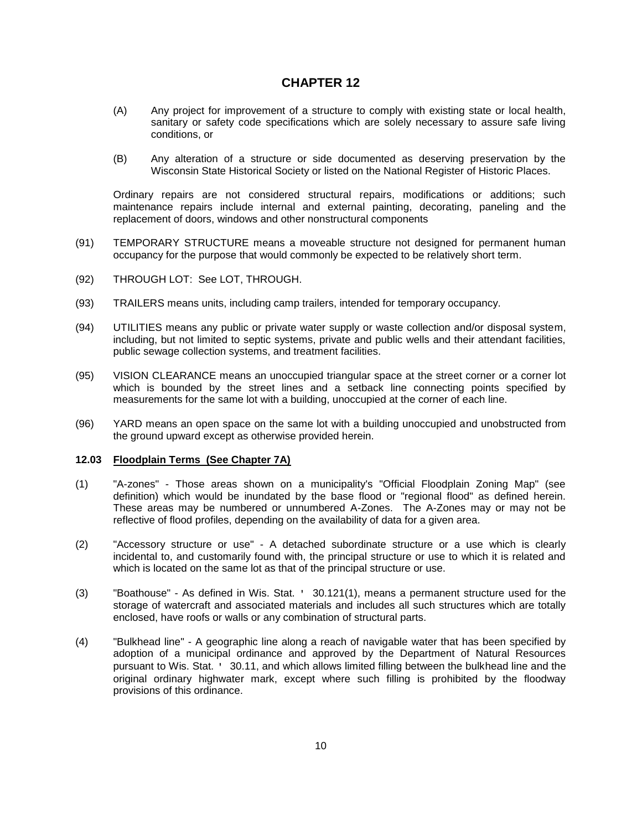- (A) Any project for improvement of a structure to comply with existing state or local health, sanitary or safety code specifications which are solely necessary to assure safe living conditions, or
- (B) Any alteration of a structure or side documented as deserving preservation by the Wisconsin State Historical Society or listed on the National Register of Historic Places.

Ordinary repairs are not considered structural repairs, modifications or additions; such maintenance repairs include internal and external painting, decorating, paneling and the replacement of doors, windows and other nonstructural components

- (91) TEMPORARY STRUCTURE means a moveable structure not designed for permanent human occupancy for the purpose that would commonly be expected to be relatively short term.
- (92) THROUGH LOT: See LOT, THROUGH.
- (93) TRAILERS means units, including camp trailers, intended for temporary occupancy.
- (94) UTILITIES means any public or private water supply or waste collection and/or disposal system, including, but not limited to septic systems, private and public wells and their attendant facilities, public sewage collection systems, and treatment facilities.
- (95) VISION CLEARANCE means an unoccupied triangular space at the street corner or a corner lot which is bounded by the street lines and a setback line connecting points specified by measurements for the same lot with a building, unoccupied at the corner of each line.
- (96) YARD means an open space on the same lot with a building unoccupied and unobstructed from the ground upward except as otherwise provided herein.

#### **12.03 Floodplain Terms (See Chapter 7A)**

- (1) "A-zones" Those areas shown on a municipality's "Official Floodplain Zoning Map" (see definition) which would be inundated by the base flood or "regional flood" as defined herein. These areas may be numbered or unnumbered A-Zones. The A-Zones may or may not be reflective of flood profiles, depending on the availability of data for a given area.
- (2) "Accessory structure or use" A detached subordinate structure or a use which is clearly incidental to, and customarily found with, the principal structure or use to which it is related and which is located on the same lot as that of the principal structure or use.
- (3) "Boathouse" As defined in Wis. Stat. ' 30.121(1), means a permanent structure used for the storage of watercraft and associated materials and includes all such structures which are totally enclosed, have roofs or walls or any combination of structural parts.
- (4) "Bulkhead line" A geographic line along a reach of navigable water that has been specified by adoption of a municipal ordinance and approved by the Department of Natural Resources pursuant to Wis. Stat. ' 30.11, and which allows limited filling between the bulkhead line and the original ordinary highwater mark, except where such filling is prohibited by the floodway provisions of this ordinance.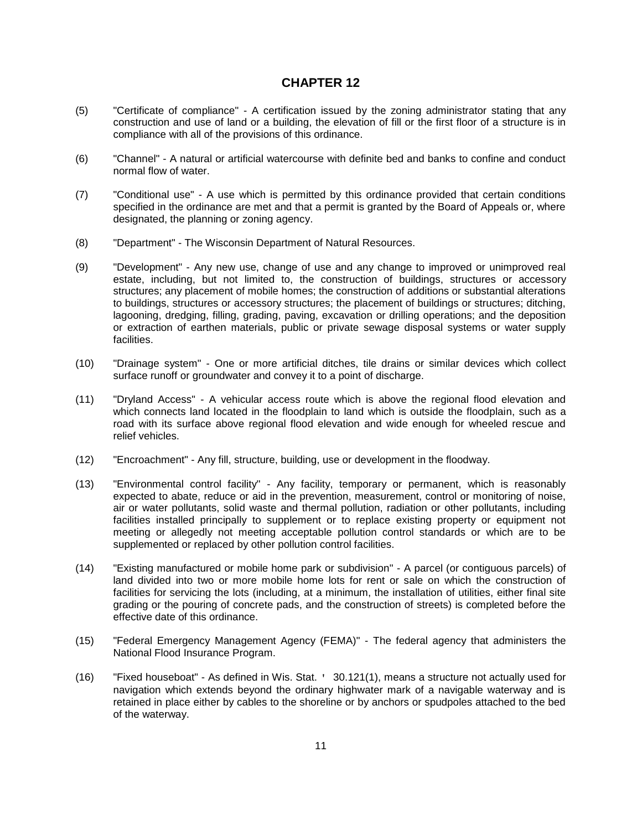- (5) "Certificate of compliance" A certification issued by the zoning administrator stating that any construction and use of land or a building, the elevation of fill or the first floor of a structure is in compliance with all of the provisions of this ordinance.
- (6) "Channel" A natural or artificial watercourse with definite bed and banks to confine and conduct normal flow of water.
- (7) "Conditional use" A use which is permitted by this ordinance provided that certain conditions specified in the ordinance are met and that a permit is granted by the Board of Appeals or, where designated, the planning or zoning agency.
- (8) "Department" The Wisconsin Department of Natural Resources.
- (9) "Development" Any new use, change of use and any change to improved or unimproved real estate, including, but not limited to, the construction of buildings, structures or accessory structures; any placement of mobile homes; the construction of additions or substantial alterations to buildings, structures or accessory structures; the placement of buildings or structures; ditching, lagooning, dredging, filling, grading, paving, excavation or drilling operations; and the deposition or extraction of earthen materials, public or private sewage disposal systems or water supply facilities.
- (10) "Drainage system" One or more artificial ditches, tile drains or similar devices which collect surface runoff or groundwater and convey it to a point of discharge.
- (11) "Dryland Access" A vehicular access route which is above the regional flood elevation and which connects land located in the floodplain to land which is outside the floodplain, such as a road with its surface above regional flood elevation and wide enough for wheeled rescue and relief vehicles.
- (12) "Encroachment" Any fill, structure, building, use or development in the floodway.
- (13) "Environmental control facility" Any facility, temporary or permanent, which is reasonably expected to abate, reduce or aid in the prevention, measurement, control or monitoring of noise, air or water pollutants, solid waste and thermal pollution, radiation or other pollutants, including facilities installed principally to supplement or to replace existing property or equipment not meeting or allegedly not meeting acceptable pollution control standards or which are to be supplemented or replaced by other pollution control facilities.
- (14) "Existing manufactured or mobile home park or subdivision" A parcel (or contiguous parcels) of land divided into two or more mobile home lots for rent or sale on which the construction of facilities for servicing the lots (including, at a minimum, the installation of utilities, either final site grading or the pouring of concrete pads, and the construction of streets) is completed before the effective date of this ordinance.
- (15) "Federal Emergency Management Agency (FEMA)" The federal agency that administers the National Flood Insurance Program.
- (16) "Fixed houseboat" As defined in Wis. Stat. ' 30.121(1), means a structure not actually used for navigation which extends beyond the ordinary highwater mark of a navigable waterway and is retained in place either by cables to the shoreline or by anchors or spudpoles attached to the bed of the waterway.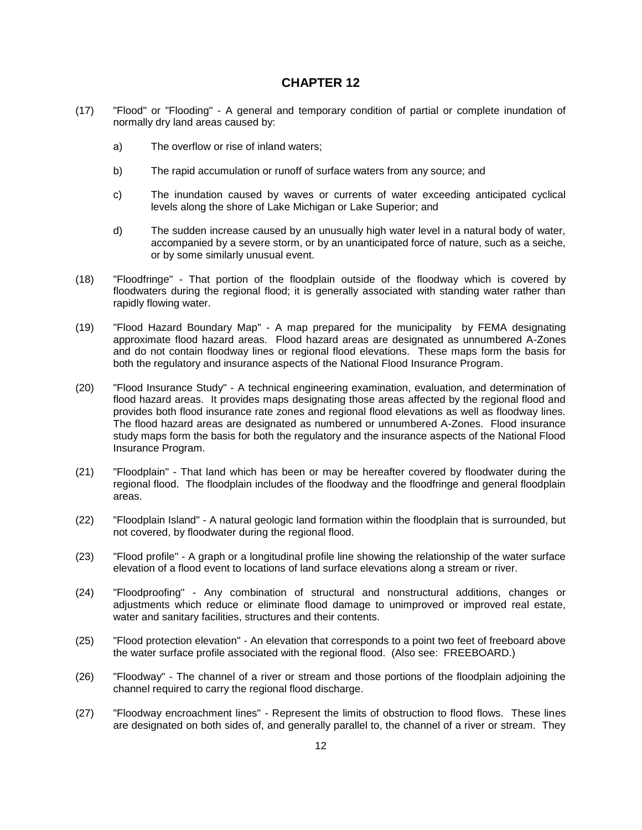- (17) "Flood" or "Flooding" A general and temporary condition of partial or complete inundation of normally dry land areas caused by:
	- a) The overflow or rise of inland waters;
	- b) The rapid accumulation or runoff of surface waters from any source; and
	- c) The inundation caused by waves or currents of water exceeding anticipated cyclical levels along the shore of Lake Michigan or Lake Superior; and
	- d) The sudden increase caused by an unusually high water level in a natural body of water, accompanied by a severe storm, or by an unanticipated force of nature, such as a seiche, or by some similarly unusual event.
- (18) "Floodfringe" That portion of the floodplain outside of the floodway which is covered by floodwaters during the regional flood; it is generally associated with standing water rather than rapidly flowing water.
- (19) "Flood Hazard Boundary Map" A map prepared for the municipality by FEMA designating approximate flood hazard areas. Flood hazard areas are designated as unnumbered A-Zones and do not contain floodway lines or regional flood elevations. These maps form the basis for both the regulatory and insurance aspects of the National Flood Insurance Program.
- (20) "Flood Insurance Study" A technical engineering examination, evaluation, and determination of flood hazard areas. It provides maps designating those areas affected by the regional flood and provides both flood insurance rate zones and regional flood elevations as well as floodway lines. The flood hazard areas are designated as numbered or unnumbered A-Zones. Flood insurance study maps form the basis for both the regulatory and the insurance aspects of the National Flood Insurance Program.
- (21) "Floodplain" That land which has been or may be hereafter covered by floodwater during the regional flood. The floodplain includes of the floodway and the floodfringe and general floodplain areas.
- (22) "Floodplain Island" A natural geologic land formation within the floodplain that is surrounded, but not covered, by floodwater during the regional flood.
- (23) "Flood profile" A graph or a longitudinal profile line showing the relationship of the water surface elevation of a flood event to locations of land surface elevations along a stream or river.
- (24) "Floodproofing" Any combination of structural and nonstructural additions, changes or adjustments which reduce or eliminate flood damage to unimproved or improved real estate, water and sanitary facilities, structures and their contents.
- (25) "Flood protection elevation" An elevation that corresponds to a point two feet of freeboard above the water surface profile associated with the regional flood. (Also see: FREEBOARD.)
- (26) "Floodway" The channel of a river or stream and those portions of the floodplain adjoining the channel required to carry the regional flood discharge.
- (27) "Floodway encroachment lines" Represent the limits of obstruction to flood flows. These lines are designated on both sides of, and generally parallel to, the channel of a river or stream. They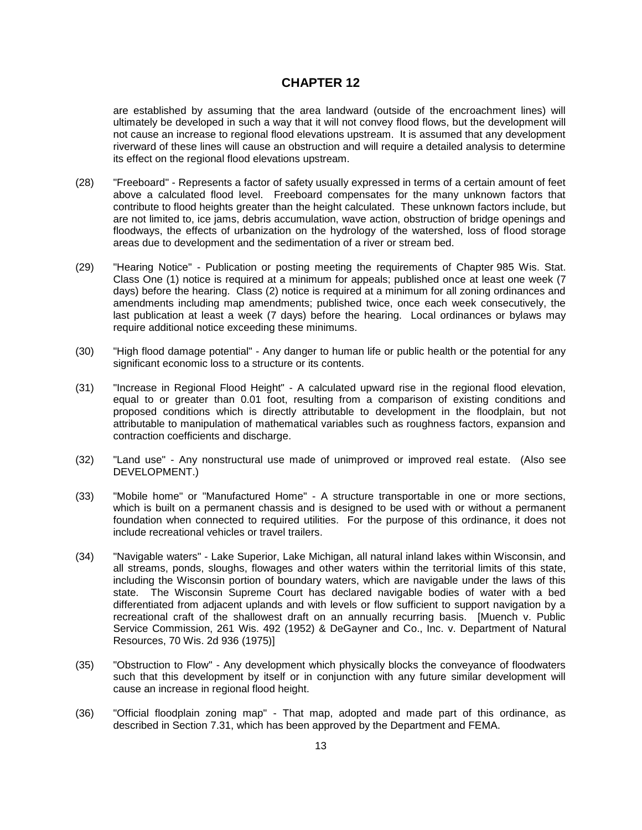are established by assuming that the area landward (outside of the encroachment lines) will ultimately be developed in such a way that it will not convey flood flows, but the development will not cause an increase to regional flood elevations upstream. It is assumed that any development riverward of these lines will cause an obstruction and will require a detailed analysis to determine its effect on the regional flood elevations upstream.

- (28) "Freeboard" Represents a factor of safety usually expressed in terms of a certain amount of feet above a calculated flood level. Freeboard compensates for the many unknown factors that contribute to flood heights greater than the height calculated. These unknown factors include, but are not limited to, ice jams, debris accumulation, wave action, obstruction of bridge openings and floodways, the effects of urbanization on the hydrology of the watershed, loss of flood storage areas due to development and the sedimentation of a river or stream bed.
- (29) "Hearing Notice" Publication or posting meeting the requirements of Chapter 985 Wis. Stat. Class One (1) notice is required at a minimum for appeals; published once at least one week (7 days) before the hearing. Class (2) notice is required at a minimum for all zoning ordinances and amendments including map amendments; published twice, once each week consecutively, the last publication at least a week (7 days) before the hearing. Local ordinances or bylaws may require additional notice exceeding these minimums.
- (30) "High flood damage potential" Any danger to human life or public health or the potential for any significant economic loss to a structure or its contents.
- (31) "Increase in Regional Flood Height" A calculated upward rise in the regional flood elevation, equal to or greater than 0.01 foot, resulting from a comparison of existing conditions and proposed conditions which is directly attributable to development in the floodplain, but not attributable to manipulation of mathematical variables such as roughness factors, expansion and contraction coefficients and discharge.
- (32) "Land use" Any nonstructural use made of unimproved or improved real estate. (Also see DEVELOPMENT.)
- (33) "Mobile home" or "Manufactured Home" A structure transportable in one or more sections, which is built on a permanent chassis and is designed to be used with or without a permanent foundation when connected to required utilities. For the purpose of this ordinance, it does not include recreational vehicles or travel trailers.
- (34) "Navigable waters" Lake Superior, Lake Michigan, all natural inland lakes within Wisconsin, and all streams, ponds, sloughs, flowages and other waters within the territorial limits of this state, including the Wisconsin portion of boundary waters, which are navigable under the laws of this state. The Wisconsin Supreme Court has declared navigable bodies of water with a bed differentiated from adjacent uplands and with levels or flow sufficient to support navigation by a recreational craft of the shallowest draft on an annually recurring basis. [Muench v. Public Service Commission, 261 Wis. 492 (1952) & DeGayner and Co., Inc. v. Department of Natural Resources, 70 Wis. 2d 936 (1975)]
- (35) "Obstruction to Flow" Any development which physically blocks the conveyance of floodwaters such that this development by itself or in conjunction with any future similar development will cause an increase in regional flood height.
- (36) "Official floodplain zoning map" That map, adopted and made part of this ordinance, as described in Section 7.31, which has been approved by the Department and FEMA.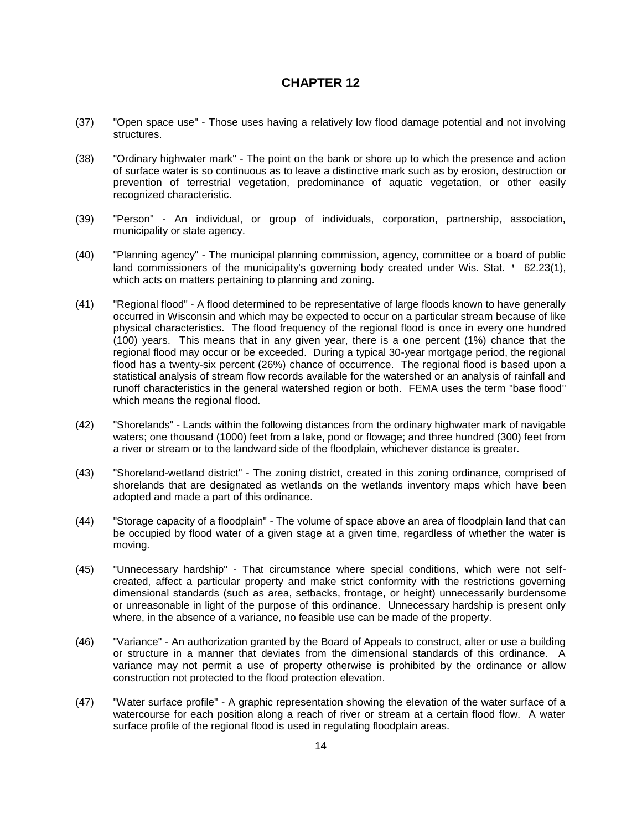- (37) "Open space use" Those uses having a relatively low flood damage potential and not involving structures.
- (38) "Ordinary highwater mark" The point on the bank or shore up to which the presence and action of surface water is so continuous as to leave a distinctive mark such as by erosion, destruction or prevention of terrestrial vegetation, predominance of aquatic vegetation, or other easily recognized characteristic.
- (39) "Person" An individual, or group of individuals, corporation, partnership, association, municipality or state agency.
- (40) "Planning agency" The municipal planning commission, agency, committee or a board of public land commissioners of the municipality's governing body created under Wis. Stat. ' 62.23(1), which acts on matters pertaining to planning and zoning.
- (41) "Regional flood" A flood determined to be representative of large floods known to have generally occurred in Wisconsin and which may be expected to occur on a particular stream because of like physical characteristics. The flood frequency of the regional flood is once in every one hundred (100) years. This means that in any given year, there is a one percent (1%) chance that the regional flood may occur or be exceeded. During a typical 30-year mortgage period, the regional flood has a twenty-six percent (26%) chance of occurrence. The regional flood is based upon a statistical analysis of stream flow records available for the watershed or an analysis of rainfall and runoff characteristics in the general watershed region or both. FEMA uses the term "base flood" which means the regional flood.
- (42) "Shorelands" Lands within the following distances from the ordinary highwater mark of navigable waters; one thousand (1000) feet from a lake, pond or flowage; and three hundred (300) feet from a river or stream or to the landward side of the floodplain, whichever distance is greater.
- (43) "Shoreland-wetland district" The zoning district, created in this zoning ordinance, comprised of shorelands that are designated as wetlands on the wetlands inventory maps which have been adopted and made a part of this ordinance.
- (44) "Storage capacity of a floodplain" The volume of space above an area of floodplain land that can be occupied by flood water of a given stage at a given time, regardless of whether the water is moving.
- (45) "Unnecessary hardship" That circumstance where special conditions, which were not selfcreated, affect a particular property and make strict conformity with the restrictions governing dimensional standards (such as area, setbacks, frontage, or height) unnecessarily burdensome or unreasonable in light of the purpose of this ordinance. Unnecessary hardship is present only where, in the absence of a variance, no feasible use can be made of the property.
- (46) "Variance" An authorization granted by the Board of Appeals to construct, alter or use a building or structure in a manner that deviates from the dimensional standards of this ordinance. A variance may not permit a use of property otherwise is prohibited by the ordinance or allow construction not protected to the flood protection elevation.
- (47) "Water surface profile" A graphic representation showing the elevation of the water surface of a watercourse for each position along a reach of river or stream at a certain flood flow. A water surface profile of the regional flood is used in regulating floodplain areas.